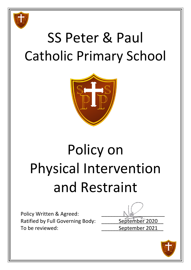

## SS Peter & Paul Catholic Primary School



# Policy on Physical Intervention and Restraint

Policy Written & Agreed: Ratified by Full Governing Body: \_\_\_\_\_\_ September 2020 To be reviewed: To be reviewed:

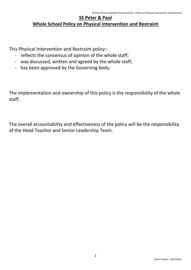### **SS Peter & Paul Whole School Policy on Physical Intervention and Restraint**

This Physical Intervention and Restraint policy:-

- reflects the consensus of opinion of the whole staff;
- was discussed, written and agreed by the whole staff;
- has been approved by the Governing body.

The implementation and ownership of this policy is the responsibility of the whole staff.

The overall accountability and effectiveness of the policy will be the responsibility of the Head Teacher and Senior Leadership Team.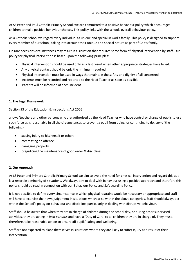At SS Peter and Paul Catholic Primary School, we are committed to a positive behaviour policy which encourages children to make positive behaviour choices. This policy links with the schools overall behaviour policy.

As a Catholic school we regard every individual as unique and special in God's family. This policy is designed to support every member of our school, taking into account their unique and special nature as part of God's family.

On rare occasions circumstances may result in a situation that requires some form of physical intervention by staff. Our policy for physical intervention is based upon the following principles:-

- Physical intervention should be used only as a last resort when other appropriate strategies have failed.
- Any physical contact should be only the minimum required.
- Physical intervention must be used in ways that maintain the safety and dignity of all concerned.
- Incidents must be recorded and reported to the Head Teacher as soon as possible
- Parents will be informed of each incident

#### **1. The Legal Framework**

Section 93 of the Education & Inspections Act 2006

allows 'teachers and other persons who are authorised by the Head Teacher who have control or charge of pupils to use such force as is reasonable in all the circumstances to prevent a pupil from doing, or continuing to do, any of the following:-

- causing injury to his/herself or others
- committing an offence
- damaging property
- prejudicing the maintenance of good order & discipline'

#### **2. Our Approach**

At SS Peter and Primary Catholic Primary School we aim to avoid the need for physical intervention and regard this as a last resort in a minority of situations. We always aim to deal with behaviour using a positive approach and therefore this policy should be read in connection with our Behaviour Policy and Safeguarding Policy.

It is not possible to define every circumstance in which physical restraint would be necessary or appropriate and staff will have to exercise their own judgement in situations which arise within the above categories. Staff should always act within the School's policy on behaviour and discipline, particularly in dealing with disruptive behaviour.

Staff should be aware that when they are in charge of children during the school day, or during other supervised activities, they are acting in *loco parentis* and have a 'Duty of Care' to all children they are in charge of. They must, therefore, take reasonable action to ensure **all** pupils' safety and wellbeing.

Staff are not expected to place themselves in situations where they are likely to suffer injury as a result of their intervention.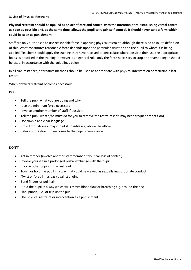#### **3. Use of Physical Restraint**

**Physical restraint should be applied as an act of care and control with the intention or re-establishing verbal control as soon as possible and, at the same time, allows the pupil to regain self-control. It should never take a form which could be seen as punishment**.

Staff are only authorised to use reasonable force in applying physical restraint, although there is no absolute definition of this. What constitutes reasonable force depends upon the particular situation and the pupil to whom it is being applied. Teachers should apply the training they have received to deescalate where possible then use the appropriate holds as practised in the training. However, as a general rule, only the force necessary to stop or prevent danger should be used, in accordance with the guidelines below.

In all circumstances, alternative methods should be used as appropriate with physical intervention or restraint, a last resort.

When physical restraint becomes necessary:

#### **DO**

- Tell the pupil what you are doing and why
- Use the minimum force necessary
- Involve another member of staff if possible
- Tell the pupil what s/he must do for you to remove the restraint (this may need frequent repetition)
- Use simple and clear language
- Hold limbs above a major joint if possible e.g. above the elbow
- Relax your restraint in response to the pupil's compliance

#### **DON'T**

- Act in temper (involve another staff member if you fear loss of control)
- Involve yourself in a prolonged verbal exchange with the pupil
- Involve other pupils in the restraint
- Touch or hold the pupil in a way that could be viewed as sexually inappropriate conduct
- Twist or force limbs back against a joint
- Bend fingers or pull hair
- Hold the pupil in a way which will restrict blood flow or breathing e.g. around the neck
- Slap, punch, kick or trip up the pupil
- Use physical restraint or intervention as a punishment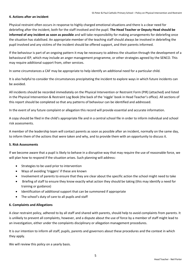#### **4. Actions after an incident**

Physical restraint often occurs in response to highly charged emotional situations and there is a clear need for debriefing after the incident, both for the staff involved and the pupil. **The Head Teacher or Deputy Head should be informed of any incident as soon as possible** and will take responsibility for making arrangements for debriefing once the situation has stabilised. An appropriate member of the teaching staff should always be involved in debriefing the pupil involved and any victims of the incident should be offered support, and their parents informed.

If the behaviour is part of an ongoing pattern it may be necessary to address the situation through the development of a behavioural IEP, which may include an anger management programme, or other strategies agreed by the SENCO. This may require additional support from, other services.

In some circumstances a CAF may be appropriate to help identify an additional need for a particular child.

It is also helpful to consider the circumstances precipitating the incident to explore ways in which future incidents can be avoided.

All incidents should be recorded immediately on the Physical Intervention or Restraint Form (PIR) (attached) and listed in the Physical Intervention & Restraint Log Book (the back of the 'niggle' book in Head Teacher's office). All sections of this report should be completed so that any patterns of behaviour can be identified and addressed.

In the event of any future complaint or allegation this record will provide essential and accurate information.

A copy should be filed in the child's appropriate file and in a central school file in order to inform individual and school risk assessments.

A member of the leadership team will contact parents as soon as possible after an incident, normally on the same day, to inform them of the actions that were taken and why, and to provide them with an opportunity to discuss it.

#### **5. Risk Assessments**

If we become aware that a pupil is likely to behave in a disruptive way that may require the use of reasonable force, we will plan how to respond if the situation arises. Such planning will address:

- Strategies to be used prior to intervention
- Ways of avoiding 'triggers' if these are known
- Involvement of parents to ensure that they are clear about the specific action the school might need to take
- Briefing of staff to ensure they know exactly what action they should be taking (this may identify a need for training or guidance)
- Identification of additional support that can be summoned if appropriate
- The school's duty of care to all pupils and staff

#### **6. Complaints and Allegations**

A clear restraint policy, adhered to by all staff and shared with parents, should help to avoid complaints from parents. It is unlikely to prevent all complaints, however, and a dispute about the use of force by a member of staff might lead to an investigation, either under the complaints disciplinary or allegation management procedures.

It is our intention to inform all staff, pupils, parents and governors about these procedures and the context in which they apply.

We will review this policy on a yearly basis.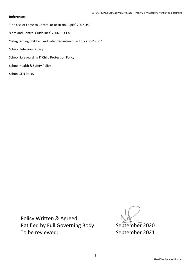#### **References;**

'The Use of Force to Control or Restrain Pupils' 2007 DSCF

'Care and Control Guidelines' 2006 ER CFAS

'Safeguarding Children and Safer Recruitment in Education' 2007

School Behaviour Policy

School Safeguarding & Child Protection Policy

School Health & Safety Policy

School SEN Policy

Policy Written & Agreed: Ratified by Full Governing Body: \_\_\_\_\_\_ September 2020 To be reviewed: <br> Contact September 2021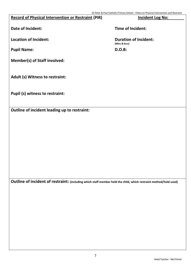| <b>Record of Physical Intervention or Restraint (PIR)</b> | <b>Incident Log No:</b>                       |
|-----------------------------------------------------------|-----------------------------------------------|
| <b>Date of Incident:</b>                                  | <b>Time of Incident:</b>                      |
| <b>Location of Incident:</b>                              | <b>Duration of Incident:</b><br>(Mins & Secs) |
| <b>Pupil Name:</b>                                        | <b>D.O.B:</b>                                 |
| <b>Member(s) of Staff involved:</b>                       |                                               |
| Adult (s) Witness to restraint:                           |                                               |
| Pupil (s) witness to restraint:                           |                                               |
| Outline of incident leading up to restraint:              |                                               |

**Outline of incident of restraint: (including which staff member held the child, which restraint method/hold used)**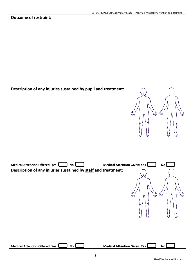| <b>Outcome of restraint:</b>                                                             |              |           |
|------------------------------------------------------------------------------------------|--------------|-----------|
|                                                                                          |              |           |
|                                                                                          |              |           |
|                                                                                          |              |           |
|                                                                                          |              |           |
|                                                                                          |              |           |
|                                                                                          |              |           |
|                                                                                          |              |           |
|                                                                                          |              |           |
|                                                                                          |              |           |
| Description of any injuries sustained by pupil and treatment:                            | $\mathbb{C}$ |           |
|                                                                                          |              |           |
|                                                                                          |              |           |
|                                                                                          | EJ<br>aw     | Furt<br>E |
|                                                                                          |              |           |
|                                                                                          |              |           |
|                                                                                          |              |           |
|                                                                                          |              |           |
|                                                                                          |              |           |
|                                                                                          |              |           |
| Medical Attention Offered: Yes<br><b>Medical Attention Given: Yes</b><br>No <sub>L</sub> |              | <b>No</b> |
| Description of any injuries sustained by staff and treatment:                            |              |           |
|                                                                                          | ÷            |           |
|                                                                                          |              |           |
|                                                                                          |              | Tav       |
|                                                                                          | ЪN<br>Žw     | Pool      |
|                                                                                          |              |           |
|                                                                                          |              |           |
|                                                                                          |              |           |
|                                                                                          |              |           |
|                                                                                          |              |           |
|                                                                                          |              |           |
| Medical Attention Offered: Yes<br>Medical Attention Given: Yes<br>No                     |              | No        |